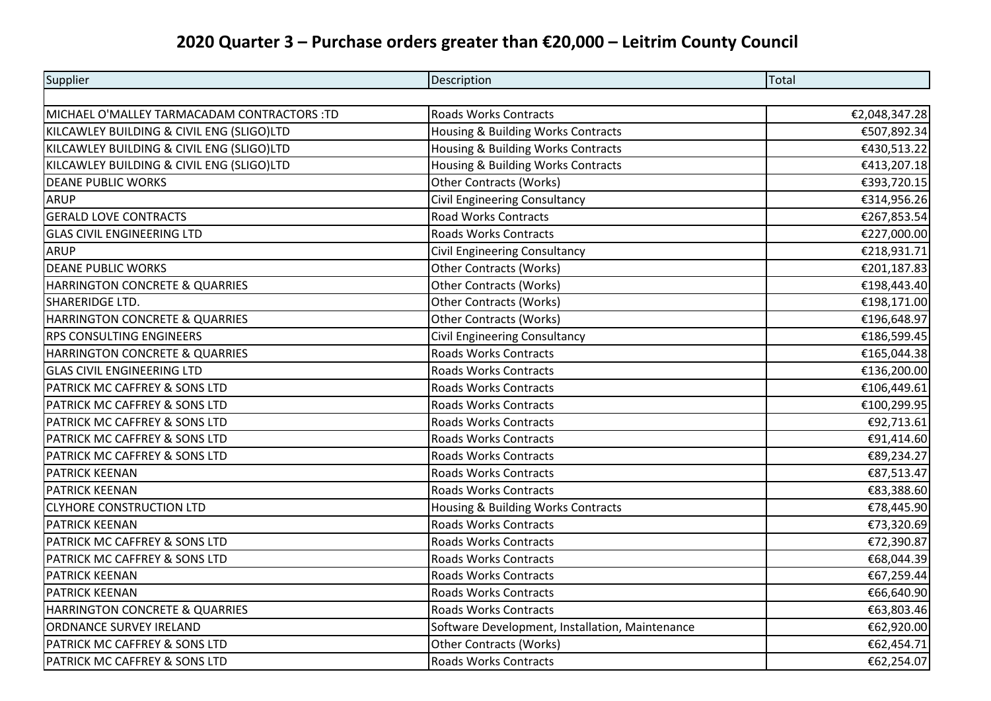## **2020 Quarter 3 – Purchase orders greater than €20,000 – Leitrim County Council**

| Supplier                                    | Description                                     | Total         |
|---------------------------------------------|-------------------------------------------------|---------------|
|                                             |                                                 |               |
| MICHAEL O'MALLEY TARMACADAM CONTRACTORS :TD | Roads Works Contracts                           | €2,048,347.28 |
| KILCAWLEY BUILDING & CIVIL ENG (SLIGO)LTD   | Housing & Building Works Contracts              | €507,892.34   |
| KILCAWLEY BUILDING & CIVIL ENG (SLIGO)LTD   | Housing & Building Works Contracts              | €430,513.22   |
| KILCAWLEY BUILDING & CIVIL ENG (SLIGO)LTD   | Housing & Building Works Contracts              | €413,207.18   |
| <b>DEANE PUBLIC WORKS</b>                   | <b>Other Contracts (Works)</b>                  | €393,720.15   |
| <b>ARUP</b>                                 | <b>Civil Engineering Consultancy</b>            | €314,956.26   |
| <b>GERALD LOVE CONTRACTS</b>                | <b>Road Works Contracts</b>                     | €267,853.54   |
| <b>GLAS CIVIL ENGINEERING LTD</b>           | <b>Roads Works Contracts</b>                    | €227,000.00   |
| <b>ARUP</b>                                 | <b>Civil Engineering Consultancy</b>            | €218,931.71   |
| <b>DEANE PUBLIC WORKS</b>                   | <b>Other Contracts (Works)</b>                  | €201,187.83   |
| HARRINGTON CONCRETE & QUARRIES              | <b>Other Contracts (Works)</b>                  | €198,443.40   |
| SHARERIDGE LTD.                             | <b>Other Contracts (Works)</b>                  | €198,171.00   |
| HARRINGTON CONCRETE & QUARRIES              | <b>Other Contracts (Works)</b>                  | €196,648.97   |
| RPS CONSULTING ENGINEERS                    | Civil Engineering Consultancy                   | €186,599.45   |
| HARRINGTON CONCRETE & QUARRIES              | <b>Roads Works Contracts</b>                    | €165,044.38   |
| <b>GLAS CIVIL ENGINEERING LTD</b>           | <b>Roads Works Contracts</b>                    | €136,200.00   |
| PATRICK MC CAFFREY & SONS LTD               | <b>Roads Works Contracts</b>                    | €106,449.61   |
| PATRICK MC CAFFREY & SONS LTD               | <b>Roads Works Contracts</b>                    | €100,299.95   |
| PATRICK MC CAFFREY & SONS LTD               | <b>Roads Works Contracts</b>                    | €92,713.61    |
| PATRICK MC CAFFREY & SONS LTD               | <b>Roads Works Contracts</b>                    | €91,414.60    |
| PATRICK MC CAFFREY & SONS LTD               | <b>Roads Works Contracts</b>                    | €89,234.27    |
| PATRICK KEENAN                              | <b>Roads Works Contracts</b>                    | €87,513.47    |
| <b>PATRICK KEENAN</b>                       | <b>Roads Works Contracts</b>                    | €83,388.60    |
| <b>CLYHORE CONSTRUCTION LTD</b>             | Housing & Building Works Contracts              | €78,445.90    |
| <b>PATRICK KEENAN</b>                       | <b>Roads Works Contracts</b>                    | €73,320.69    |
| PATRICK MC CAFFREY & SONS LTD               | <b>Roads Works Contracts</b>                    | €72,390.87    |
| PATRICK MC CAFFREY & SONS LTD               | <b>Roads Works Contracts</b>                    | €68,044.39    |
| <b>PATRICK KEENAN</b>                       | <b>Roads Works Contracts</b>                    | €67,259.44    |
| PATRICK KEENAN                              | <b>Roads Works Contracts</b>                    | €66,640.90    |
| HARRINGTON CONCRETE & QUARRIES              | <b>Roads Works Contracts</b>                    | €63,803.46    |
| <b>ORDNANCE SURVEY IRELAND</b>              | Software Development, Installation, Maintenance | €62,920.00    |
| PATRICK MC CAFFREY & SONS LTD               | <b>Other Contracts (Works)</b>                  | €62,454.71    |
| PATRICK MC CAFFREY & SONS LTD               | <b>Roads Works Contracts</b>                    | €62,254.07    |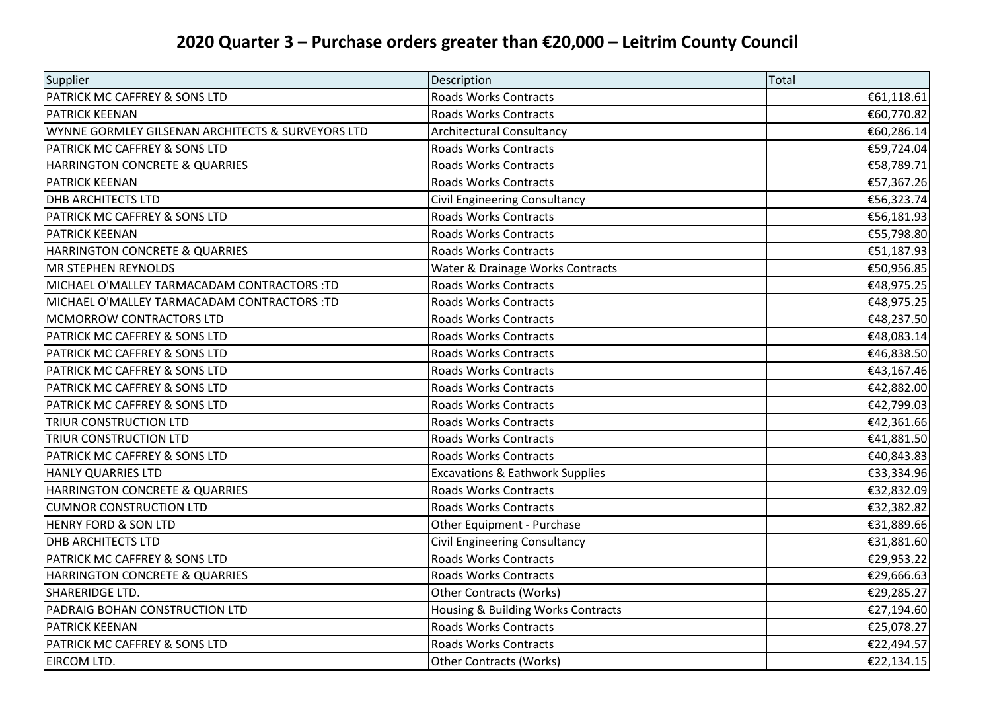## **2020 Quarter 3 – Purchase orders greater than €20,000 – Leitrim County Council**

| Supplier                                          | Description                                | Total      |
|---------------------------------------------------|--------------------------------------------|------------|
| PATRICK MC CAFFREY & SONS LTD                     | <b>Roads Works Contracts</b>               | €61,118.61 |
| <b>PATRICK KEENAN</b>                             | <b>Roads Works Contracts</b>               | €60,770.82 |
| WYNNE GORMLEY GILSENAN ARCHITECTS & SURVEYORS LTD | <b>Architectural Consultancy</b>           | €60,286.14 |
| PATRICK MC CAFFREY & SONS LTD                     | <b>Roads Works Contracts</b>               | €59,724.04 |
| HARRINGTON CONCRETE & QUARRIES                    | <b>Roads Works Contracts</b>               | €58,789.71 |
| <b>PATRICK KEENAN</b>                             | Roads Works Contracts                      | €57,367.26 |
| <b>DHB ARCHITECTS LTD</b>                         | Civil Engineering Consultancy              | €56,323.74 |
| PATRICK MC CAFFREY & SONS LTD                     | <b>Roads Works Contracts</b>               | €56,181.93 |
| PATRICK KEENAN                                    | <b>Roads Works Contracts</b>               | €55,798.80 |
| HARRINGTON CONCRETE & QUARRIES                    | <b>Roads Works Contracts</b>               | €51,187.93 |
| <b>MR STEPHEN REYNOLDS</b>                        | Water & Drainage Works Contracts           | €50,956.85 |
| MICHAEL O'MALLEY TARMACADAM CONTRACTORS :TD       | <b>Roads Works Contracts</b>               | €48,975.25 |
| MICHAEL O'MALLEY TARMACADAM CONTRACTORS :TD       | <b>Roads Works Contracts</b>               | €48,975.25 |
| MCMORROW CONTRACTORS LTD                          | <b>Roads Works Contracts</b>               | €48,237.50 |
| PATRICK MC CAFFREY & SONS LTD                     | <b>Roads Works Contracts</b>               | €48,083.14 |
| PATRICK MC CAFFREY & SONS LTD                     | <b>Roads Works Contracts</b>               | €46,838.50 |
| PATRICK MC CAFFREY & SONS LTD                     | <b>Roads Works Contracts</b>               | €43,167.46 |
| PATRICK MC CAFFREY & SONS LTD                     | Roads Works Contracts                      | €42,882.00 |
| PATRICK MC CAFFREY & SONS LTD                     | <b>Roads Works Contracts</b>               | €42,799.03 |
| TRIUR CONSTRUCTION LTD                            | <b>Roads Works Contracts</b>               | €42,361.66 |
| TRIUR CONSTRUCTION LTD                            | <b>Roads Works Contracts</b>               | €41,881.50 |
| PATRICK MC CAFFREY & SONS LTD                     | Roads Works Contracts                      | €40,843.83 |
| HANLY QUARRIES LTD                                | <b>Excavations &amp; Eathwork Supplies</b> | €33,334.96 |
| HARRINGTON CONCRETE & QUARRIES                    | <b>Roads Works Contracts</b>               | €32,832.09 |
| <b>CUMNOR CONSTRUCTION LTD</b>                    | <b>Roads Works Contracts</b>               | €32,382.82 |
| <b>HENRY FORD &amp; SON LTD</b>                   | Other Equipment - Purchase                 | €31,889.66 |
| <b>DHB ARCHITECTS LTD</b>                         | Civil Engineering Consultancy              | €31,881.60 |
| PATRICK MC CAFFREY & SONS LTD                     | <b>Roads Works Contracts</b>               | €29,953.22 |
| HARRINGTON CONCRETE & QUARRIES                    | <b>Roads Works Contracts</b>               | €29,666.63 |
| SHARERIDGE LTD.                                   | <b>Other Contracts (Works)</b>             | €29,285.27 |
| PADRAIG BOHAN CONSTRUCTION LTD                    | Housing & Building Works Contracts         | €27,194.60 |
| PATRICK KEENAN                                    | <b>Roads Works Contracts</b>               | €25,078.27 |
| PATRICK MC CAFFREY & SONS LTD                     | <b>Roads Works Contracts</b>               | €22,494.57 |
| EIRCOM LTD.                                       | <b>Other Contracts (Works)</b>             | €22,134.15 |